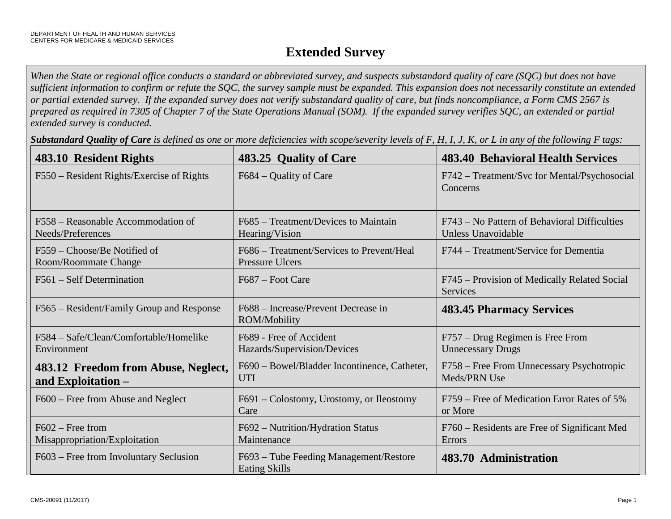# **Extended Survey**

*When the State or regional office conducts a standard or abbreviated survey, and suspects substandard quality of care (SQC) but does not have sufficient information to confirm or refute the SQC, the survey sample must be expanded. This expansion does not necessarily constitute an extended or partial extended survey. If the expanded survey does not verify substandard quality of care, but finds noncompliance, a Form CMS 2567 is prepared as required in 7305 of Chapter 7 of the State Operations Manual (SOM). If the expanded survey verifies SQC, an extended or partial extended survey is conducted.* 

*Substandard Quality of Care is defined as one or more deficiencies with scope/severity levels of F, H, I, J, K, or L in any of the following F tags:*

| 483.10 Resident Rights                                    | 483.25 Quality of Care                                              | <b>483.40 Behavioral Health Services</b>                           |
|-----------------------------------------------------------|---------------------------------------------------------------------|--------------------------------------------------------------------|
| F550 – Resident Rights/Exercise of Rights                 | F684 – Quality of Care                                              | F742 – Treatment/Svc for Mental/Psychosocial<br>Concerns           |
| F558 – Reasonable Accommodation of<br>Needs/Preferences   | F685 – Treatment/Devices to Maintain<br>Hearing/Vision              | F743 – No Pattern of Behavioral Difficulties<br>Unless Unavoidable |
| F559 – Choose/Be Notified of<br>Room/Roommate Change      | F686 – Treatment/Services to Prevent/Heal<br><b>Pressure Ulcers</b> | F744 – Treatment/Service for Dementia                              |
| F561 – Self Determination                                 | F687 – Foot Care                                                    | F745 – Provision of Medically Related Social<br>Services           |
| F565 – Resident/Family Group and Response                 | F688 – Increase/Prevent Decrease in<br>ROM/Mobility                 | <b>483.45 Pharmacy Services</b>                                    |
| F584 – Safe/Clean/Comfortable/Homelike<br>Environment     | F689 - Free of Accident<br>Hazards/Supervision/Devices              | F757 – Drug Regimen is Free From<br><b>Unnecessary Drugs</b>       |
| 483.12 Freedom from Abuse, Neglect,<br>and Exploitation - | F690 - Bowel/Bladder Incontinence, Catheter,<br><b>UTI</b>          | F758 – Free From Unnecessary Psychotropic<br>Meds/PRN Use          |
| F600 – Free from Abuse and Neglect                        | F691 – Colostomy, Urostomy, or Ileostomy<br>Care                    | F759 – Free of Medication Error Rates of 5%<br>or More             |
| $F602 - Free from$<br>Misappropriation/Exploitation       | F692 - Nutrition/Hydration Status<br>Maintenance                    | F760 – Residents are Free of Significant Med<br>Errors             |
| F603 – Free from Involuntary Seclusion                    | F693 – Tube Feeding Management/Restore<br><b>Eating Skills</b>      | 483.70 Administration                                              |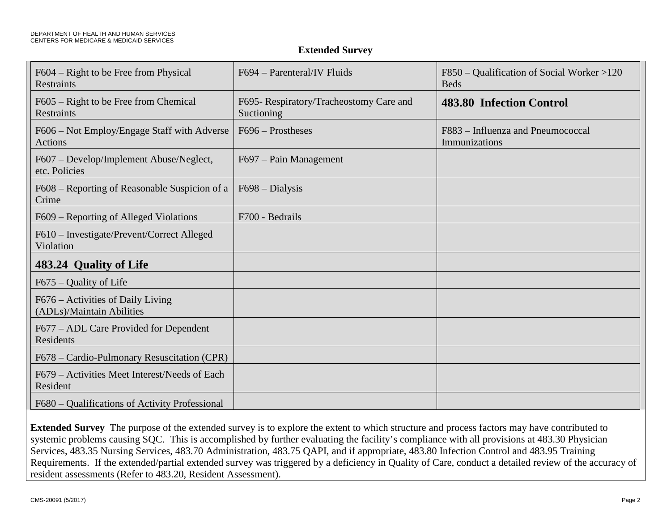#### **Extended Survey**

| F604 – Right to be Free from Physical<br>Restraints            | F694 – Parenteral/IV Fluids                           | F850 – Qualification of Social Worker >120<br><b>Beds</b> |
|----------------------------------------------------------------|-------------------------------------------------------|-----------------------------------------------------------|
| F605 – Right to be Free from Chemical<br><b>Restraints</b>     | F695- Respiratory/Tracheostomy Care and<br>Suctioning | 483.80 Infection Control                                  |
| F606 – Not Employ/Engage Staff with Adverse<br><b>Actions</b>  | $F696 - Prostheses$                                   | F883 - Influenza and Pneumococcal<br>Immunizations        |
| F607 – Develop/Implement Abuse/Neglect,<br>etc. Policies       | F697 – Pain Management                                |                                                           |
| F608 – Reporting of Reasonable Suspicion of a<br>Crime         | $F698 - Dialysis$                                     |                                                           |
| F609 – Reporting of Alleged Violations                         | F700 - Bedrails                                       |                                                           |
| F610 - Investigate/Prevent/Correct Alleged<br>Violation        |                                                       |                                                           |
| 483.24 Quality of Life                                         |                                                       |                                                           |
| $F675 -$ Quality of Life                                       |                                                       |                                                           |
| F676 – Activities of Daily Living<br>(ADLs)/Maintain Abilities |                                                       |                                                           |
| F677 – ADL Care Provided for Dependent<br>Residents            |                                                       |                                                           |
| F678 – Cardio-Pulmonary Resuscitation (CPR)                    |                                                       |                                                           |
| F679 – Activities Meet Interest/Needs of Each<br>Resident      |                                                       |                                                           |
| F680 – Qualifications of Activity Professional                 |                                                       |                                                           |

**Extended Survey** The purpose of the extended survey is to explore the extent to which structure and process factors may have contributed to systemic problems causing SQC. This is accomplished by further evaluating the facility's compliance with all provisions at 483.30 Physician Services, 483.35 Nursing Services, 483.70 Administration, 483.75 QAPI, and if appropriate, 483.80 Infection Control and 483.95 Training Requirements. If the extended/partial extended survey was triggered by a deficiency in Quality of Care, conduct a detailed review of the accuracy of resident assessments (Refer to 483.20, Resident Assessment).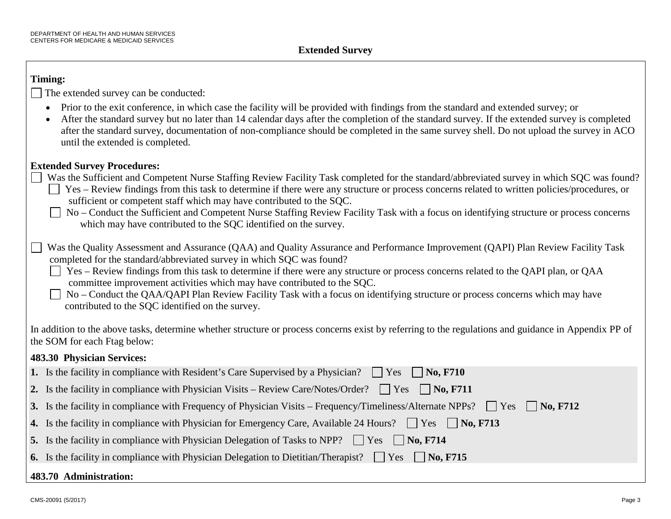#### **Timing:**

The extended survey can be conducted:

- Prior to the exit conference, in which case the facility will be provided with findings from the standard and extended survey; or
- After the standard survey but no later than 14 calendar days after the completion of the standard survey. If the extended survey is completed after the standard survey, documentation of non-compliance should be completed in the same survey shell. Do not upload the survey in ACO until the extended is completed.

### **Extended Survey Procedures:**

- Was the Sufficient and Competent Nurse Staffing Review Facility Task completed for the standard/abbreviated survey in which SQC was found?
	- $\Box$  Yes Review findings from this task to determine if there were any structure or process concerns related to written policies/procedures, or sufficient or competent staff which may have contributed to the SQC.
		- No Conduct the Sufficient and Competent Nurse Staffing Review Facility Task with a focus on identifying structure or process concerns which may have contributed to the SQC identified on the survey.
- Was the Quality Assessment and Assurance (QAA) and Quality Assurance and Performance Improvement (QAPI) Plan Review Facility Task completed for the standard/abbreviated survey in which SQC was found?
	- $\Box$  Yes Review findings from this task to determine if there were any structure or process concerns related to the QAPI plan, or QAA committee improvement activities which may have contributed to the SQC.
	- No Conduct the QAA/QAPI Plan Review Facility Task with a focus on identifying structure or process concerns which may have contributed to the SQC identified on the survey.

In addition to the above tasks, determine whether structure or process concerns exist by referring to the regulations and guidance in Appendix PP of the SOM for each Ftag below:

## **483.30 Physician Services:**

| 1. Is the facility in compliance with Resident's Care Supervised by a Physician?<br>$\vert$ Yes $\vert$ No, F710                          |  |  |
|-------------------------------------------------------------------------------------------------------------------------------------------|--|--|
| 2. Is the facility in compliance with Physician Visits – Review Care/Notes/Order? $\Box$ Yes $\Box$ No, F711                              |  |  |
| 3. Is the facility in compliance with Frequency of Physician Visits – Frequency/Timeliness/Alternate NPPs? $\Box$ Yes<br>$\vert$ No, F712 |  |  |
| 4. Is the facility in compliance with Physician for Emergency Care, Available 24 Hours? $\Box$ Yes $\Box$ No, F713                        |  |  |
| 5. Is the facility in compliance with Physician Delegation of Tasks to NPP? $\Box$ Yes $\Box$ No, F714                                    |  |  |
| <b>6.</b> Is the facility in compliance with Physician Delegation to Dietitian/Therapist? $\vert$ Yes $\vert$ No, F715                    |  |  |
| 483.70 Administration:                                                                                                                    |  |  |